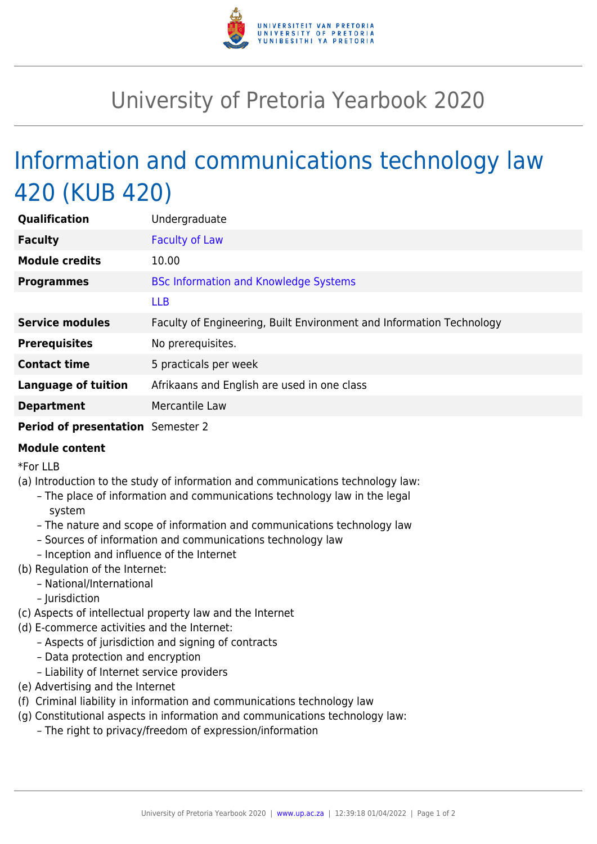

## University of Pretoria Yearbook 2020

## Information and communications technology law 420 (KUB 420)

| Qualification                     | Undergraduate                                                        |
|-----------------------------------|----------------------------------------------------------------------|
| <b>Faculty</b>                    | <b>Faculty of Law</b>                                                |
| <b>Module credits</b>             | 10.00                                                                |
| <b>Programmes</b>                 | <b>BSc Information and Knowledge Systems</b>                         |
|                                   | <b>LLB</b>                                                           |
| <b>Service modules</b>            | Faculty of Engineering, Built Environment and Information Technology |
| <b>Prerequisites</b>              | No prerequisites.                                                    |
| <b>Contact time</b>               | 5 practicals per week                                                |
| <b>Language of tuition</b>        | Afrikaans and English are used in one class                          |
| <b>Department</b>                 | Mercantile Law                                                       |
| Period of presentation Semester 2 |                                                                      |

## **Module content**

\*For LLB

- (a) Introduction to the study of information and communications technology law:
	- The place of information and communications technology law in the legal system
	- The nature and scope of information and communications technology law
	- Sources of information and communications technology law
	- Inception and influence of the Internet
- (b) Regulation of the Internet:
	- National/International
	- Jurisdiction
- (c) Aspects of intellectual property law and the Internet
- (d) E-commerce activities and the Internet:
	- Aspects of jurisdiction and signing of contracts
	- Data protection and encryption
	- Liability of Internet service providers
- (e) Advertising and the Internet
- (f) Criminal liability in information and communications technology law
- (g) Constitutional aspects in information and communications technology law:
	- The right to privacy/freedom of expression/information